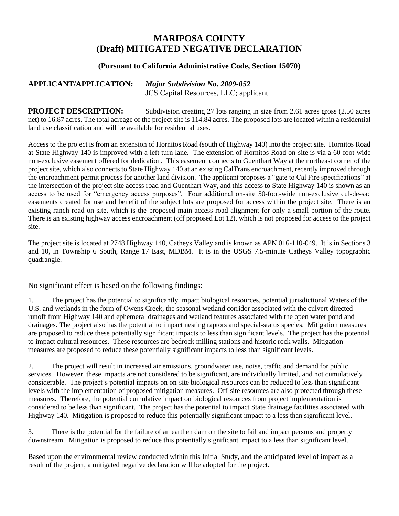## **MARIPOSA COUNTY (Draft) MITIGATED NEGATIVE DECLARATION**

## **(Pursuant to California Administrative Code, Section 15070)**

## **APPLICANT/APPLICATION:** *Major Subdivision No. 2009-052* JCS Capital Resources, LLC; applicant

**PROJECT DESCRIPTION:** Subdivision creating 27 lots ranging in size from 2.61 acres gross (2.50 acres net) to 16.87 acres. The total acreage of the project site is 114.84 acres. The proposed lots are located within a residential land use classification and will be available for residential uses.

Access to the project is from an extension of Hornitos Road (south of Highway 140) into the project site. Hornitos Road at State Highway 140 is improved with a left turn lane. The extension of Hornitos Road on-site is via a 60-foot-wide non-exclusive easement offered for dedication. This easement connects to Guenthart Way at the northeast corner of the project site, which also connects to State Highway 140 at an existing CalTrans encroachment, recently improved through the encroachment permit process for another land division. The applicant proposes a "gate to Cal Fire specifications" at the intersection of the project site access road and Guenthart Way, and this access to State Highway 140 is shown as an access to be used for "emergency access purposes". Four additional on-site 50-foot-wide non-exclusive cul-de-sac easements created for use and benefit of the subject lots are proposed for access within the project site. There is an existing ranch road on-site, which is the proposed main access road alignment for only a small portion of the route. There is an existing highway access encroachment (off proposed Lot 12), which is not proposed for access to the project site.

The project site is located at 2748 Highway 140, Catheys Valley and is known as APN 016-110-049. It is in Sections 3 and 10, in Township 6 South, Range 17 East, MDBM. It is in the USGS 7.5-minute Catheys Valley topographic quadrangle.

No significant effect is based on the following findings:

1. The project has the potential to significantly impact biological resources, potential jurisdictional Waters of the U.S. and wetlands in the form of Owens Creek, the seasonal wetland corridor associated with the culvert directed runoff from Highway 140 and ephemeral drainages and wetland features associated with the open water pond and drainages. The project also has the potential to impact nesting raptors and special-status species. Mitigation measures are proposed to reduce these potentially significant impacts to less than significant levels. The project has the potential to impact cultural resources. These resources are bedrock milling stations and historic rock walls. Mitigation measures are proposed to reduce these potentially significant impacts to less than significant levels.

2. The project will result in increased air emissions, groundwater use, noise, traffic and demand for public services. However, these impacts are not considered to be significant, are individually limited, and not cumulatively considerable. The project's potential impacts on on-site biological resources can be reduced to less than significant levels with the implementation of proposed mitigation measures. Off-site resources are also protected through these measures. Therefore, the potential cumulative impact on biological resources from project implementation is considered to be less than significant. The project has the potential to impact State drainage facilities associated with Highway 140. Mitigation is proposed to reduce this potentially significant impact to a less than significant level.

3. There is the potential for the failure of an earthen dam on the site to fail and impact persons and property downstream. Mitigation is proposed to reduce this potentially significant impact to a less than significant level.

Based upon the environmental review conducted within this Initial Study, and the anticipated level of impact as a result of the project, a mitigated negative declaration will be adopted for the project.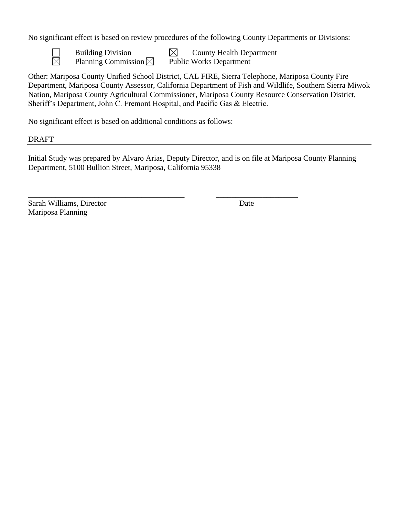No significant effect is based on review procedures of the following County Departments or Divisions:



Building Division  $\boxtimes$  County Health Department Planning Commission  $\boxtimes$  Public Works Department

Other: Mariposa County Unified School District, CAL FIRE, Sierra Telephone, Mariposa County Fire Department, Mariposa County Assessor, California Department of Fish and Wildlife, Southern Sierra Miwok Nation, Mariposa County Agricultural Commissioner, Mariposa County Resource Conservation District, Sheriff's Department, John C. Fremont Hospital, and Pacific Gas & Electric.

No significant effect is based on additional conditions as follows:

DRAFT

Initial Study was prepared by Alvaro Arias, Deputy Director, and is on file at Mariposa County Planning Department, 5100 Bullion Street, Mariposa, California 95338

\_\_\_\_\_\_\_\_\_\_\_\_\_\_\_\_\_\_\_\_\_\_\_\_\_\_\_\_\_\_\_\_\_\_\_\_\_\_\_\_ \_\_\_\_\_\_\_\_\_\_\_\_\_\_\_\_\_\_\_\_\_

Sarah Williams, Director Date Mariposa Planning